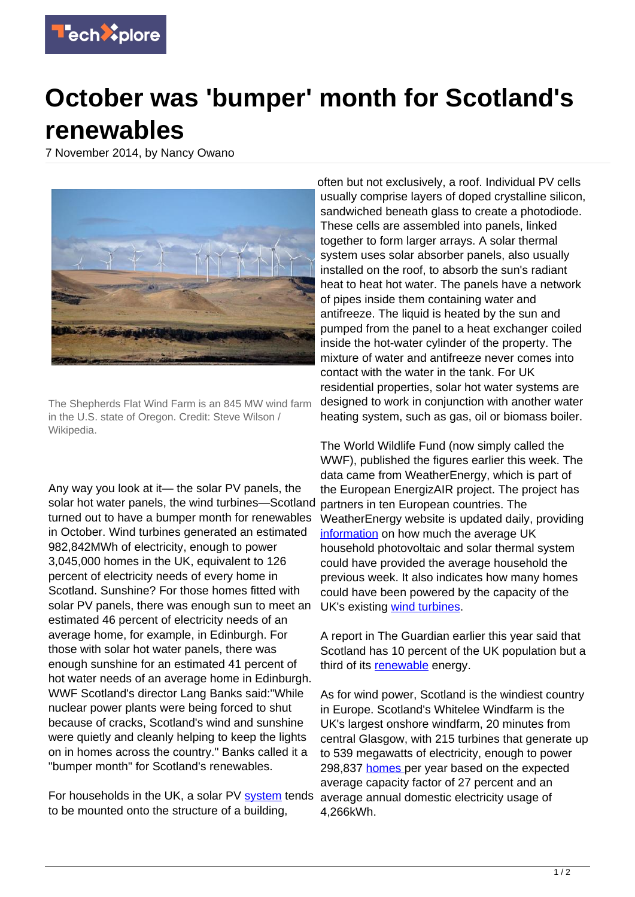

## **October was 'bumper' month for Scotland's renewables**

7 November 2014, by Nancy Owano



The Shepherds Flat Wind Farm is an 845 MW wind farm in the U.S. state of Oregon. Credit: Steve Wilson / Wikipedia.

Any way you look at it— the solar PV panels, the solar hot water panels, the wind turbines—Scotland turned out to have a bumper month for renewables in October. Wind turbines generated an estimated 982,842MWh of electricity, enough to power 3,045,000 homes in the UK, equivalent to 126 percent of electricity needs of every home in Scotland. Sunshine? For those homes fitted with solar PV panels, there was enough sun to meet an estimated 46 percent of electricity needs of an average home, for example, in Edinburgh. For those with solar hot water panels, there was enough sunshine for an estimated 41 percent of hot water needs of an average home in Edinburgh. WWF Scotland's director Lang Banks said:"While nuclear power plants were being forced to shut because of cracks, Scotland's wind and sunshine were quietly and cleanly helping to keep the lights on in homes across the country." Banks called it a "bumper month" for Scotland's renewables.

For households in the UK, a solar PV [system](http://www.weatherenergy.co.uk/solar-photovoltaic/how-it-works) tends average annual domestic electricity usage of to be mounted onto the structure of a building,

often but not exclusively, a roof. Individual PV cells usually comprise layers of doped crystalline silicon, sandwiched beneath glass to create a photodiode. These cells are assembled into panels, linked together to form larger arrays. A solar thermal system uses solar absorber panels, also usually installed on the roof, to absorb the sun's radiant heat to heat hot water. The panels have a network of pipes inside them containing water and antifreeze. The liquid is heated by the sun and pumped from the panel to a heat exchanger coiled inside the hot-water cylinder of the property. The mixture of water and antifreeze never comes into contact with the water in the tank. For UK residential properties, solar hot water systems are designed to work in conjunction with another water heating system, such as gas, oil or biomass boiler.

The World Wildlife Fund (now simply called the WWF), published the figures earlier this week. The data came from WeatherEnergy, which is part of the European EnergizAIR project. The project has partners in ten European countries. The WeatherEnergy website is updated daily, providing [information](http://www.weatherenergy.co.uk/home) on how much the average UK household photovoltaic and solar thermal system could have provided the average household the previous week. It also indicates how many homes could have been powered by the capacity of the UK's existing [wind turbines.](https://techxplore.com/tags/wind+turbines/)

A report in The Guardian earlier this year said that Scotland has 10 percent of the UK population but a third of its [renewable](http://www.theguardian.com/environment/2014/mar/19/england-lights-scotland-renewable-energy) energy.

As for wind power, Scotland is the windiest country in Europe. Scotland's Whitelee Windfarm is the UK's largest onshore windfarm, 20 minutes from central Glasgow, with 215 turbines that generate up to 539 megawatts of electricity, enough to power 298,837 [homes](http://www.whiteleewindfarm.co.uk/about_windfarm?nav) per year based on the expected average capacity factor of 27 percent and an 4,266kWh.